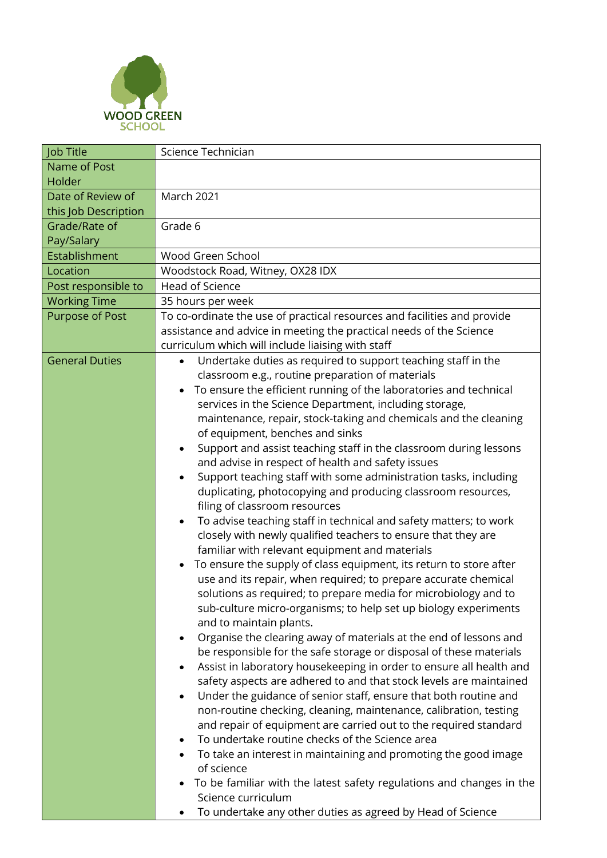

| Job Title                                                          | Science Technician                                                               |  |
|--------------------------------------------------------------------|----------------------------------------------------------------------------------|--|
| Name of Post                                                       |                                                                                  |  |
| Holder                                                             |                                                                                  |  |
| Date of Review of                                                  | <b>March 2021</b>                                                                |  |
| this Job Description                                               |                                                                                  |  |
| Grade/Rate of                                                      | Grade 6                                                                          |  |
| Pay/Salary                                                         |                                                                                  |  |
| Establishment                                                      | Wood Green School                                                                |  |
| Location                                                           | Woodstock Road, Witney, OX28 IDX                                                 |  |
| Post responsible to                                                | <b>Head of Science</b>                                                           |  |
| <b>Working Time</b>                                                | 35 hours per week                                                                |  |
| <b>Purpose of Post</b>                                             | To co-ordinate the use of practical resources and facilities and provide         |  |
|                                                                    | assistance and advice in meeting the practical needs of the Science              |  |
|                                                                    | curriculum which will include liaising with staff                                |  |
| <b>General Duties</b>                                              | Undertake duties as required to support teaching staff in the                    |  |
|                                                                    | classroom e.g., routine preparation of materials                                 |  |
|                                                                    | To ensure the efficient running of the laboratories and technical                |  |
|                                                                    | services in the Science Department, including storage,                           |  |
|                                                                    | maintenance, repair, stock-taking and chemicals and the cleaning                 |  |
|                                                                    | of equipment, benches and sinks                                                  |  |
|                                                                    | Support and assist teaching staff in the classroom during lessons<br>$\bullet$   |  |
|                                                                    | and advise in respect of health and safety issues                                |  |
|                                                                    | Support teaching staff with some administration tasks, including                 |  |
|                                                                    | duplicating, photocopying and producing classroom resources,                     |  |
|                                                                    | filing of classroom resources                                                    |  |
|                                                                    | To advise teaching staff in technical and safety matters; to work<br>$\bullet$   |  |
| closely with newly qualified teachers to ensure that they are      |                                                                                  |  |
|                                                                    | familiar with relevant equipment and materials                                   |  |
|                                                                    | To ensure the supply of class equipment, its return to store after               |  |
|                                                                    | use and its repair, when required; to prepare accurate chemical                  |  |
|                                                                    | solutions as required; to prepare media for microbiology and to                  |  |
|                                                                    | sub-culture micro-organisms; to help set up biology experiments                  |  |
|                                                                    | and to maintain plants.                                                          |  |
|                                                                    | Organise the clearing away of materials at the end of lessons and<br>$\bullet$   |  |
| be responsible for the safe storage or disposal of these materials |                                                                                  |  |
|                                                                    | Assist in laboratory housekeeping in order to ensure all health and<br>$\bullet$ |  |
|                                                                    | safety aspects are adhered to and that stock levels are maintained               |  |
|                                                                    | Under the guidance of senior staff, ensure that both routine and<br>$\bullet$    |  |
|                                                                    | non-routine checking, cleaning, maintenance, calibration, testing                |  |
|                                                                    | and repair of equipment are carried out to the required standard                 |  |
|                                                                    | To undertake routine checks of the Science area                                  |  |
|                                                                    | To take an interest in maintaining and promoting the good image                  |  |
|                                                                    | of science                                                                       |  |
|                                                                    | To be familiar with the latest safety regulations and changes in the             |  |
|                                                                    | Science curriculum                                                               |  |
|                                                                    | To undertake any other duties as agreed by Head of Science                       |  |
|                                                                    |                                                                                  |  |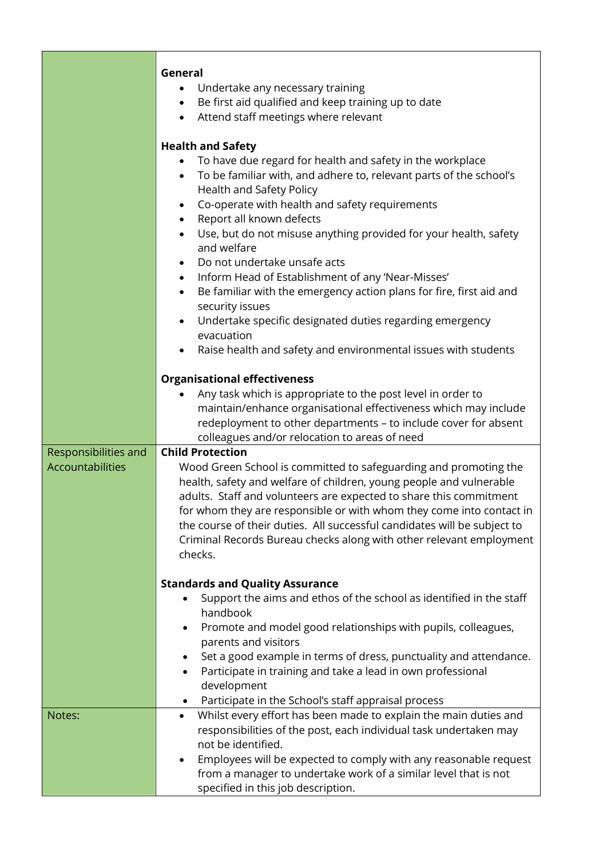|                                          | General<br>Undertake any necessary training<br>Be first aid qualified and keep training up to date<br>Attend staff meetings where relevant                                                                                                                                                                                                                                                                                                                                                                                                                                                                                                                                                       |  |  |
|------------------------------------------|--------------------------------------------------------------------------------------------------------------------------------------------------------------------------------------------------------------------------------------------------------------------------------------------------------------------------------------------------------------------------------------------------------------------------------------------------------------------------------------------------------------------------------------------------------------------------------------------------------------------------------------------------------------------------------------------------|--|--|
|                                          | <b>Health and Safety</b><br>To have due regard for health and safety in the workplace<br>To be familiar with, and adhere to, relevant parts of the school's<br>Health and Safety Policy<br>Co-operate with health and safety requirements<br>Report all known defects<br>Use, but do not misuse anything provided for your health, safety<br>and welfare<br>Do not undertake unsafe acts<br>Inform Head of Establishment of any 'Near-Misses'<br>$\bullet$<br>Be familiar with the emergency action plans for fire, first aid and<br>security issues<br>Undertake specific designated duties regarding emergency<br>evacuation<br>Raise health and safety and environmental issues with students |  |  |
|                                          | <b>Organisational effectiveness</b><br>Any task which is appropriate to the post level in order to<br>maintain/enhance organisational effectiveness which may include<br>redeployment to other departments - to include cover for absent<br>colleagues and/or relocation to areas of need                                                                                                                                                                                                                                                                                                                                                                                                        |  |  |
| Responsibilities and<br>Accountabilities | <b>Child Protection</b><br>Wood Green School is committed to safeguarding and promoting the<br>health, safety and welfare of children, young people and vulnerable<br>adults. Staff and volunteers are expected to share this commitment<br>for whom they are responsible or with whom they come into contact in<br>the course of their duties. All successful candidates will be subject to<br>Criminal Records Bureau checks along with other relevant employment<br>checks.                                                                                                                                                                                                                   |  |  |
|                                          | <b>Standards and Quality Assurance</b><br>Support the aims and ethos of the school as identified in the staff<br>handbook<br>Promote and model good relationships with pupils, colleagues,<br>parents and visitors<br>Set a good example in terms of dress, punctuality and attendance.<br>Participate in training and take a lead in own professional<br>development                                                                                                                                                                                                                                                                                                                            |  |  |
| Notes:                                   | Participate in the School's staff appraisal process<br>Whilst every effort has been made to explain the main duties and<br>$\bullet$<br>responsibilities of the post, each individual task undertaken may<br>not be identified.<br>Employees will be expected to comply with any reasonable request<br>from a manager to undertake work of a similar level that is not<br>specified in this job description.                                                                                                                                                                                                                                                                                     |  |  |